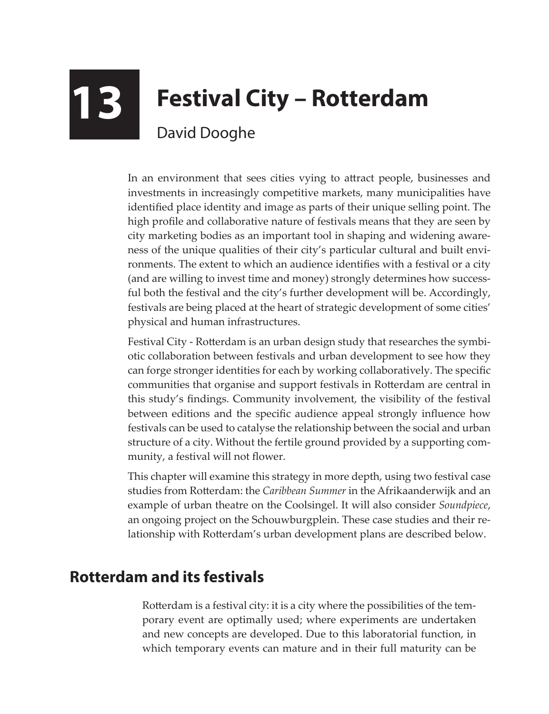## **13 Festival City – Rotterdam** David Dooghe

In an environment that sees cities vying to attract people, businesses and investments in increasingly competitive markets, many municipalities have identified place identity and image as parts of their unique selling point. The high profile and collaborative nature of festivals means that they are seen by city marketing bodies as an important tool in shaping and widening awareness of the unique qualities of their city's particular cultural and built environments. The extent to which an audience identifies with a festival or a city (and are willing to invest time and money) strongly determines how successful both the festival and the city's further development will be. Accordingly, festivals are being placed at the heart of strategic development of some cities' physical and human infrastructures.

Festival City - Rotterdam is an urban design study that researches the symbiotic collaboration between festivals and urban development to see how they can forge stronger identities for each by working collaboratively. The specific communities that organise and support festivals in Rotterdam are central in this study's findings. Community involvement, the visibility of the festival between editions and the specific audience appeal strongly influence how festivals can be used to catalyse the relationship between the social and urban structure of a city. Without the fertile ground provided by a supporting community, a festival will not flower.

This chapter will examine this strategy in more depth, using two festival case studies from Rotterdam: the *Caribbean Summer* in the Afrikaanderwijk and an example of urban theatre on the Coolsingel. It will also consider *Soundpiece*, an ongoing project on the Schouwburgplein. These case studies and their relationship with Rotterdam's urban development plans are described below.

## **Rotterdam and its festivals**

Rotterdam is a festival city: it is a city where the possibilities of the temporary event are optimally used; where experiments are undertaken and new concepts are developed. Due to this laboratorial function, in which temporary events can mature and in their full maturity can be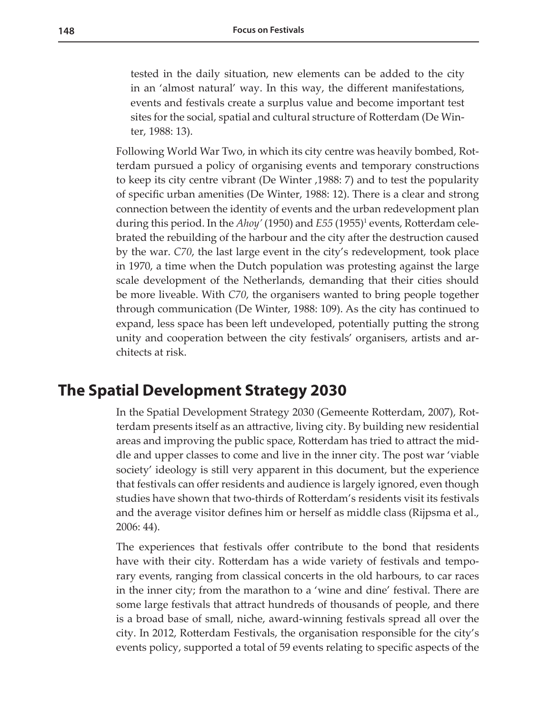tested in the daily situation, new elements can be added to the city in an 'almost natural' way. In this way, the different manifestations, events and festivals create a surplus value and become important test sites for the social, spatial and cultural structure of Rotterdam (De Winter, 1988: 13).

Following World War Two, in which its city centre was heavily bombed, Rotterdam pursued a policy of organising events and temporary constructions to keep its city centre vibrant (De Winter ,1988: 7) and to test the popularity of specific urban amenities (De Winter, 1988: 12). There is a clear and strong connection between the identity of events and the urban redevelopment plan during this period. In the *Ahoy'* (1950) and *E55* (1955)<sup>1</sup> events, Rotterdam celebrated the rebuilding of the harbour and the city after the destruction caused by the war. *C70*, the last large event in the city's redevelopment, took place in 1970, a time when the Dutch population was protesting against the large scale development of the Netherlands, demanding that their cities should be more liveable. With *C70*, the organisers wanted to bring people together through communication (De Winter, 1988: 109). As the city has continued to expand, less space has been left undeveloped, potentially putting the strong unity and cooperation between the city festivals' organisers, artists and architects at risk.

## **The Spatial Development Strategy 2030**

In the Spatial Development Strategy 2030 (Gemeente Rotterdam, 2007), Rotterdam presents itself as an attractive, living city. By building new residential areas and improving the public space, Rotterdam has tried to attract the middle and upper classes to come and live in the inner city. The post war 'viable society' ideology is still very apparent in this document, but the experience that festivals can offer residents and audience is largely ignored, even though studies have shown that two-thirds of Rotterdam's residents visit its festivals and the average visitor defines him or herself as middle class (Rijpsma et al., 2006: 44).

The experiences that festivals offer contribute to the bond that residents have with their city. Rotterdam has a wide variety of festivals and temporary events, ranging from classical concerts in the old harbours, to car races in the inner city; from the marathon to a 'wine and dine' festival. There are some large festivals that attract hundreds of thousands of people, and there is a broad base of small, niche, award-winning festivals spread all over the city. In 2012, Rotterdam Festivals, the organisation responsible for the city's events policy, supported a total of 59 events relating to specific aspects of the